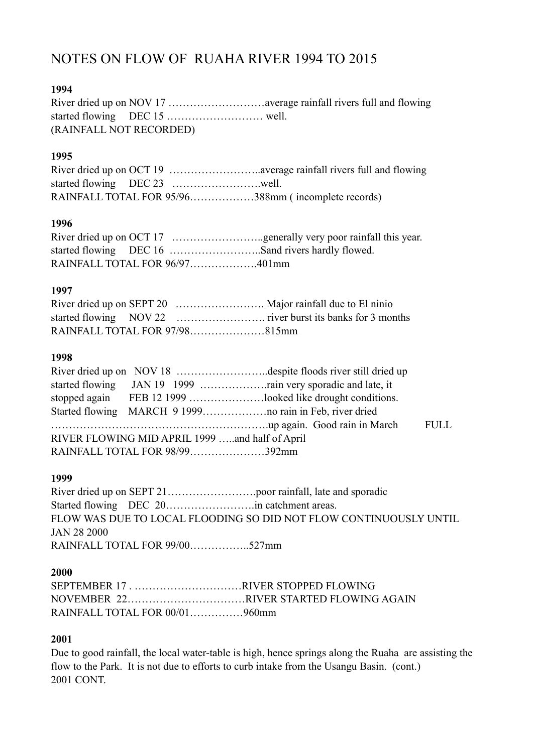# NOTES ON FLOW OF RUAHA RIVER 1994 TO 2015

## **1994**

River dried up on NOV 17 ………………………average rainfall rivers full and flowing started flowing DEC 15 ……………………… well. (RAINFALL NOT RECORDED)

## **1995**

River dried up on OCT 19 ……………………..average rainfall rivers full and flowing started flowing DEC 23 …………………….well. RAINFALL TOTAL FOR 95/96………………388mm ( incomplete records)

## **1996**

|  | RAINFALL TOTAL FOR 96/97401mm |
|--|-------------------------------|

#### **1997**

|  | RAINFALL TOTAL FOR 97/98815mm |
|--|-------------------------------|

#### **1998**

|                                                | River dried up on NOV 18 despite floods river still dried up |      |
|------------------------------------------------|--------------------------------------------------------------|------|
|                                                |                                                              |      |
|                                                | stopped again FEB 12 1999 booked like drought conditions.    |      |
|                                                |                                                              |      |
|                                                |                                                              | FULL |
| RIVER FLOWING MID APRIL 1999 and half of April |                                                              |      |
| RAINFALL TOTAL FOR 98/99392mm                  |                                                              |      |
|                                                |                                                              |      |

## **1999**

River dried up on SEPT 21…………………….poor rainfall, late and sporadic Started flowing DEC 20…………………….in catchment areas. FLOW WAS DUE TO LOCAL FLOODING SO DID NOT FLOW CONTINUOUSLY UNTIL JAN 28 2000 RAINFALL TOTAL FOR 99/00……………..527mm

## **2000**

| RAINFALL TOTAL FOR 00/01960mm |  |
|-------------------------------|--|

## **2001**

Due to good rainfall, the local water-table is high, hence springs along the Ruaha are assisting the flow to the Park. It is not due to efforts to curb intake from the Usangu Basin. (cont.) 2001 CONT.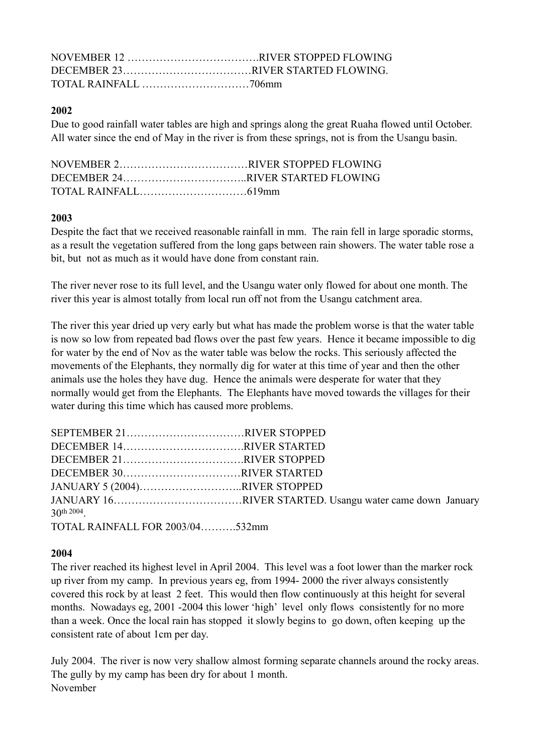## **2002**

Due to good rainfall water tables are high and springs along the great Ruaha flowed until October. All water since the end of May in the river is from these springs, not is from the Usangu basin.

## **2003**

Despite the fact that we received reasonable rainfall in mm. The rain fell in large sporadic storms, as a result the vegetation suffered from the long gaps between rain showers. The water table rose a bit, but not as much as it would have done from constant rain.

The river never rose to its full level, and the Usangu water only flowed for about one month. The river this year is almost totally from local run off not from the Usangu catchment area.

The river this year dried up very early but what has made the problem worse is that the water table is now so low from repeated bad flows over the past few years. Hence it became impossible to dig for water by the end of Nov as the water table was below the rocks. This seriously affected the movements of the Elephants, they normally dig for water at this time of year and then the other animals use the holes they have dug. Hence the animals were desperate for water that they normally would get from the Elephants. The Elephants have moved towards the villages for their water during this time which has caused more problems.

| JANUARY 5 (2004)RIVER STOPPED          |  |
|----------------------------------------|--|
|                                        |  |
| 30th 2004.                             |  |
| $EXAMPLE D IDENTIFY EOP 2002/04 = 522$ |  |

TOTAL RAINFALL FOR 2003/04……….532mm

# **2004**

The river reached its highest level in April 2004. This level was a foot lower than the marker rock up river from my camp. In previous years eg, from 1994- 2000 the river always consistently covered this rock by at least 2 feet. This would then flow continuously at this height for several months. Nowadays eg, 2001 -2004 this lower 'high' level only flows consistently for no more than a week. Once the local rain has stopped it slowly begins to go down, often keeping up the consistent rate of about 1cm per day.

July 2004. The river is now very shallow almost forming separate channels around the rocky areas. The gully by my camp has been dry for about 1 month. November